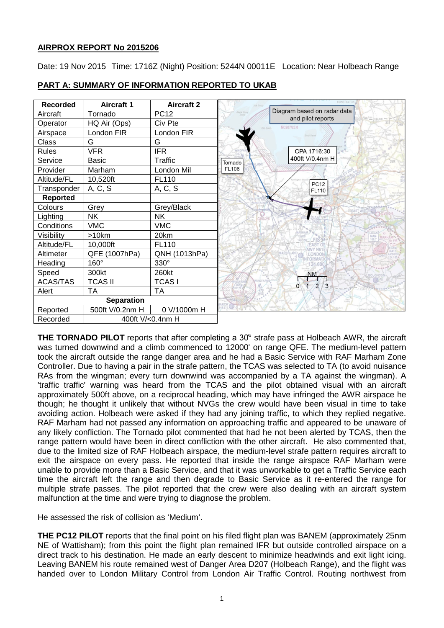# **AIRPROX REPORT No 2015206**

Date: 19 Nov 2015 Time: 1716Z (Night) Position: 5244N 00011E Location: Near Holbeach Range

| <b>Recorded</b>   | <b>Aircraft 1</b> | <b>Aircraft 2</b> |                                                     |
|-------------------|-------------------|-------------------|-----------------------------------------------------|
| Aircraft          | Tornado           | <b>PC12</b>       | Diagram based on radar data                         |
| Operator          | HQ Air (Ops)      | Civ Pte           | and pilot reports<br>§D207/23.0                     |
| Airspace          | London FIR        | London FIR        |                                                     |
| Class             | G                 | G                 |                                                     |
| <b>Rules</b>      | <b>VFR</b>        | <b>IFR</b>        | CPA 1716:30                                         |
| Service           | Basic             | Traffic           | 400ft V/0.4nm H<br>Tornado<br>AND                   |
| Provider          | Marham            | London Mil        | FL106                                               |
| Altitude/FL       | 10,520ft          | FL110             |                                                     |
| Transponder       | A, C, S           | A, C, S           | <b>PC12</b><br><b>FL110</b>                         |
| <b>Reported</b>   |                   |                   |                                                     |
| Colours           | Grey              | Grey/Black        |                                                     |
| Lighting          | <b>NK</b>         | <b>NK</b>         |                                                     |
| Conditions        | <b>VMC</b>        | <b>VMC</b>        |                                                     |
| Visibility        | >10km             | 20km              |                                                     |
| Altitude/FL       | 10,000ft          | FL110             |                                                     |
| Altimeter         | QFE (1007hPa)     | QNH (1013hPa)     |                                                     |
| Heading           | $160^\circ$       | 330°              |                                                     |
| Speed             | 300kt             | 260kt             | <b>NM</b>                                           |
| ACAS/TAS          | <b>TCAS II</b>    | <b>TCASI</b>      | $\overline{2}$<br>3<br>$\mathbf{1}$<br>$\mathbf{0}$ |
| Alert             | ТA                | ТA                |                                                     |
| <b>Separation</b> |                   |                   |                                                     |
| Reported          | 500ft V/0.2nm H   | 0 V/1000m H       |                                                     |
| Recorded          | 400ft V/<0.4nm H  |                   |                                                     |

# **PART A: SUMMARY OF INFORMATION REPORTED TO UKAB**

**THE TORNADO PILOT** reports that after completing a 30̊° strafe pass at Holbeach AWR, the aircraft was turned downwind and a climb commenced to 12000' on range QFE. The medium-level pattern took the aircraft outside the range danger area and he had a Basic Service with RAF Marham Zone Controller. Due to having a pair in the strafe pattern, the TCAS was selected to TA (to avoid nuisance RAs from the wingman; every turn downwind was accompanied by a TA against the wingman). A 'traffic traffic' warning was heard from the TCAS and the pilot obtained visual with an aircraft approximately 500ft above, on a reciprocal heading, which may have infringed the AWR airspace he though; he thought it unlikely that without NVGs the crew would have been visual in time to take avoiding action. Holbeach were asked if they had any joining traffic, to which they replied negative. RAF Marham had not passed any information on approaching traffic and appeared to be unaware of any likely confliction. The Tornado pilot commented that had he not been alerted by TCAS, then the range pattern would have been in direct confliction with the other aircraft. He also commented that, due to the limited size of RAF Holbeach airspace, the medium-level strafe pattern requires aircraft to exit the airspace on every pass. He reported that inside the range airspace RAF Marham were unable to provide more than a Basic Service, and that it was unworkable to get a Traffic Service each time the aircraft left the range and then degrade to Basic Service as it re-entered the range for multiple strafe passes. The pilot reported that the crew were also dealing with an aircraft system malfunction at the time and were trying to diagnose the problem.

He assessed the risk of collision as 'Medium'.

**THE PC12 PILOT** reports that the final point on his filed flight plan was BANEM (approximately 25nm NE of Wattisham); from this point the flight plan remained IFR but outside controlled airspace on a direct track to his destination. He made an early descent to minimize headwinds and exit light icing. Leaving BANEM his route remained west of Danger Area D207 (Holbeach Range), and the flight was handed over to London Military Control from London Air Traffic Control. Routing northwest from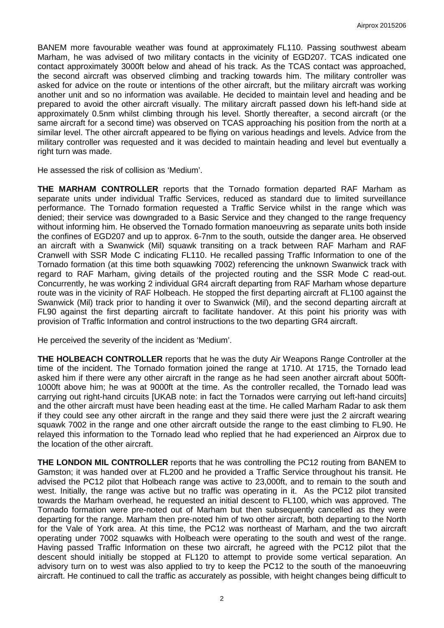BANEM more favourable weather was found at approximately FL110. Passing southwest abeam Marham, he was advised of two military contacts in the vicinity of EGD207. TCAS indicated one contact approximately 3000ft below and ahead of his track. As the TCAS contact was approached, the second aircraft was observed climbing and tracking towards him. The military controller was asked for advice on the route or intentions of the other aircraft, but the military aircraft was working another unit and so no information was available. He decided to maintain level and heading and be prepared to avoid the other aircraft visually. The military aircraft passed down his left-hand side at approximately 0.5nm whilst climbing through his level. Shortly thereafter, a second aircraft (or the same aircraft for a second time) was observed on TCAS approaching his position from the north at a similar level. The other aircraft appeared to be flying on various headings and levels. Advice from the military controller was requested and it was decided to maintain heading and level but eventually a right turn was made.

He assessed the risk of collision as 'Medium'.

**THE MARHAM CONTROLLER** reports that the Tornado formation departed RAF Marham as separate units under individual Traffic Services, reduced as standard due to limited surveillance performance. The Tornado formation requested a Traffic Service whilst in the range which was denied; their service was downgraded to a Basic Service and they changed to the range frequency without informing him. He observed the Tornado formation manoeuvring as separate units both inside the confines of EGD207 and up to approx. 6-7nm to the south, outside the danger area. He observed an aircraft with a Swanwick (Mil) squawk transiting on a track between RAF Marham and RAF Cranwell with SSR Mode C indicating FL110. He recalled passing Traffic Information to one of the Tornado formation (at this time both squawking 7002) referencing the unknown Swanwick track with regard to RAF Marham, giving details of the projected routing and the SSR Mode C read-out. Concurrently, he was working 2 individual GR4 aircraft departing from RAF Marham whose departure route was in the vicinity of RAF Holbeach. He stopped the first departing aircraft at FL100 against the Swanwick (Mil) track prior to handing it over to Swanwick (Mil), and the second departing aircraft at FL90 against the first departing aircraft to facilitate handover. At this point his priority was with provision of Traffic Information and control instructions to the two departing GR4 aircraft.

He perceived the severity of the incident as 'Medium'.

**THE HOLBEACH CONTROLLER** reports that he was the duty Air Weapons Range Controller at the time of the incident. The Tornado formation joined the range at 1710. At 1715, the Tornado lead asked him if there were any other aircraft in the range as he had seen another aircraft about 500ft-1000ft above him; he was at 9000ft at the time. As the controller recalled, the Tornado lead was carrying out right-hand circuits [UKAB note: in fact the Tornados were carrying out left-hand circuits] and the other aircraft must have been heading east at the time. He called Marham Radar to ask them if they could see any other aircraft in the range and they said there were just the 2 aircraft wearing squawk 7002 in the range and one other aircraft outside the range to the east climbing to FL90. He relayed this information to the Tornado lead who replied that he had experienced an Airprox due to the location of the other aircraft.

**THE LONDON MIL CONTROLLER** reports that he was controlling the PC12 routing from BANEM to Gamston; it was handed over at FL200 and he provided a Traffic Service throughout his transit. He advised the PC12 pilot that Holbeach range was active to 23,000ft, and to remain to the south and west. Initially, the range was active but no traffic was operating in it. As the PC12 pilot transited towards the Marham overhead, he requested an initial descent to FL100, which was approved. The Tornado formation were pre-noted out of Marham but then subsequently cancelled as they were departing for the range. Marham then pre-noted him of two other aircraft, both departing to the North for the Vale of York area. At this time, the PC12 was northeast of Marham, and the two aircraft operating under 7002 squawks with Holbeach were operating to the south and west of the range. Having passed Traffic Information on these two aircraft, he agreed with the PC12 pilot that the descent should initially be stopped at FL120 to attempt to provide some vertical separation. An advisory turn on to west was also applied to try to keep the PC12 to the south of the manoeuvring aircraft. He continued to call the traffic as accurately as possible, with height changes being difficult to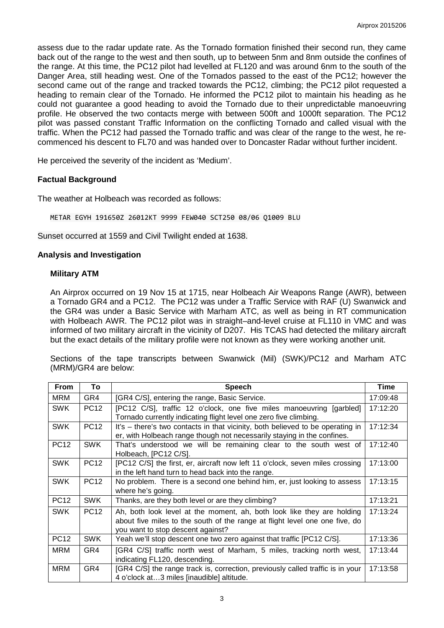assess due to the radar update rate. As the Tornado formation finished their second run, they came back out of the range to the west and then south, up to between 5nm and 8nm outside the confines of the range. At this time, the PC12 pilot had levelled at FL120 and was around 6nm to the south of the Danger Area, still heading west. One of the Tornados passed to the east of the PC12; however the second came out of the range and tracked towards the PC12, climbing; the PC12 pilot requested a heading to remain clear of the Tornado. He informed the PC12 pilot to maintain his heading as he could not guarantee a good heading to avoid the Tornado due to their unpredictable manoeuvring profile. He observed the two contacts merge with between 500ft and 1000ft separation. The PC12 pilot was passed constant Traffic Information on the conflicting Tornado and called visual with the traffic. When the PC12 had passed the Tornado traffic and was clear of the range to the west, he recommenced his descent to FL70 and was handed over to Doncaster Radar without further incident.

He perceived the severity of the incident as 'Medium'.

### **Factual Background**

The weather at Holbeach was recorded as follows:

METAR EGYH 191650Z 26012KT 9999 FEW040 SCT250 08/06 Q1009 BLU

Sunset occurred at 1559 and Civil Twilight ended at 1638.

#### **Analysis and Investigation**

#### **Military ATM**

An Airprox occurred on 19 Nov 15 at 1715, near Holbeach Air Weapons Range (AWR), between a Tornado GR4 and a PC12. The PC12 was under a Traffic Service with RAF (U) Swanwick and the GR4 was under a Basic Service with Marham ATC, as well as being in RT communication with Holbeach AWR. The PC12 pilot was in straight–and-level cruise at FL110 in VMC and was informed of two military aircraft in the vicinity of D207. His TCAS had detected the military aircraft but the exact details of the military profile were not known as they were working another unit.

Sections of the tape transcripts between Swanwick (Mil) (SWK)/PC12 and Marham ATC (MRM)/GR4 are below:

| <b>From</b> | To          | <b>Speech</b>                                                                                                                                                                              | Time     |
|-------------|-------------|--------------------------------------------------------------------------------------------------------------------------------------------------------------------------------------------|----------|
| <b>MRM</b>  | GR4         | [GR4 C/S], entering the range, Basic Service.                                                                                                                                              | 17:09:48 |
| <b>SWK</b>  | <b>PC12</b> | [PC12 C/S], traffic 12 o'clock, one five miles manoeuvring [garbled]<br>Tornado currently indicating flight level one zero five climbing.                                                  | 17:12:20 |
| <b>SWK</b>  | <b>PC12</b> | It's – there's two contacts in that vicinity, both believed to be operating in<br>er, with Holbeach range though not necessarily staying in the confines.                                  | 17:12:34 |
| <b>PC12</b> | <b>SWK</b>  | That's understood we will be remaining clear to the south west of<br>Holbeach, [PC12 C/S].                                                                                                 | 17:12:40 |
| <b>SWK</b>  | <b>PC12</b> | [PC12 C/S] the first, er, aircraft now left 11 o'clock, seven miles crossing<br>in the left hand turn to head back into the range.                                                         | 17:13:00 |
| <b>SWK</b>  | <b>PC12</b> | No problem. There is a second one behind him, er, just looking to assess<br>where he's going.                                                                                              | 17:13:15 |
| <b>PC12</b> | <b>SWK</b>  | Thanks, are they both level or are they climbing?                                                                                                                                          | 17:13:21 |
| <b>SWK</b>  | <b>PC12</b> | Ah, both look level at the moment, ah, both look like they are holding<br>about five miles to the south of the range at flight level one one five, do<br>you want to stop descent against? | 17:13:24 |
| <b>PC12</b> | <b>SWK</b>  | Yeah we'll stop descent one two zero against that traffic [PC12 C/S].                                                                                                                      | 17:13:36 |
| <b>MRM</b>  | GR4         | [GR4 C/S] traffic north west of Marham, 5 miles, tracking north west,<br>indicating FL120, descending.                                                                                     | 17:13:44 |
| <b>MRM</b>  | GR4         | [GR4 C/S] the range track is, correction, previously called traffic is in your<br>4 o'clock at3 miles [inaudible] altitude.                                                                | 17:13:58 |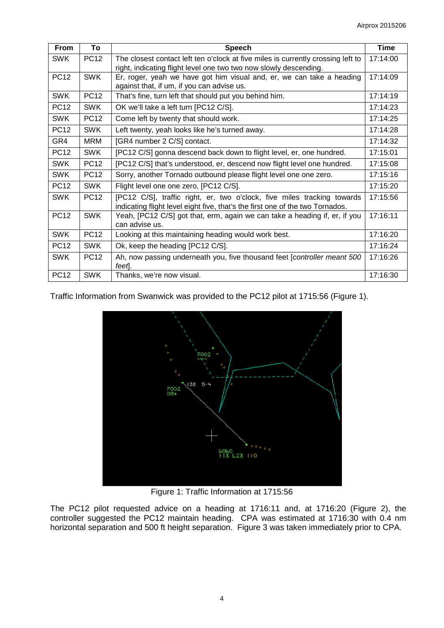| <b>From</b> | To          | <b>Speech</b>                                                                                                                                            | <b>Time</b> |
|-------------|-------------|----------------------------------------------------------------------------------------------------------------------------------------------------------|-------------|
| <b>SWK</b>  | <b>PC12</b> | The closest contact left ten o'clock at five miles is currently crossing left to<br>right, indicating flight level one two two now slowly descending.    | 17:14:00    |
| <b>PC12</b> | <b>SWK</b>  | Er, roger, yeah we have got him visual and, er, we can take a heading<br>against that, if um, if you can advise us.                                      | 17:14:09    |
| <b>SWK</b>  | <b>PC12</b> | That's fine, turn left that should put you behind him.                                                                                                   | 17:14:19    |
| <b>PC12</b> | <b>SWK</b>  | OK we'll take a left turn [PC12 C/S].                                                                                                                    | 17:14:23    |
| <b>SWK</b>  | <b>PC12</b> | Come left by twenty that should work.                                                                                                                    | 17:14:25    |
| <b>PC12</b> | <b>SWK</b>  | Left twenty, yeah looks like he's turned away.                                                                                                           | 17:14:28    |
| GR4         | <b>MRM</b>  | [GR4 number 2 C/S] contact.                                                                                                                              | 17:14:32    |
| <b>PC12</b> | <b>SWK</b>  | [PC12 C/S] gonna descend back down to flight level, er, one hundred.                                                                                     | 17:15:01    |
| <b>SWK</b>  | <b>PC12</b> | [PC12 C/S] that's understood, er, descend now flight level one hundred.                                                                                  | 17:15:08    |
| <b>SWK</b>  | <b>PC12</b> | Sorry, another Tornado outbound please flight level one one zero.                                                                                        | 17:15:16    |
| <b>PC12</b> | <b>SWK</b>  | Flight level one one zero, [PC12 C/S].                                                                                                                   | 17:15:20    |
| <b>SWK</b>  | <b>PC12</b> | [PC12 C/S], traffic right, er, two o'clock, five miles tracking towards<br>indicating flight level eight five, that's the first one of the two Tornados. | 17:15:56    |
| <b>PC12</b> | <b>SWK</b>  | Yeah, [PC12 C/S] got that, erm, again we can take a heading if, er, if you<br>can advise us.                                                             | 17:16:11    |
| <b>SWK</b>  | <b>PC12</b> | Looking at this maintaining heading would work best.                                                                                                     | 17:16:20    |
| <b>PC12</b> | <b>SWK</b>  | Ok, keep the heading [PC12 C/S].                                                                                                                         | 17:16:24    |
| <b>SWK</b>  | <b>PC12</b> | Ah, now passing underneath you, five thousand feet [controller meant 500<br>feet.                                                                        | 17:16:26    |
| <b>PC12</b> | <b>SWK</b>  | Thanks, we're now visual.                                                                                                                                | 17:16:30    |

Traffic Information from Swanwick was provided to the PC12 pilot at 1715:56 (Figure 1).



Figure 1: Traffic Information at 1715:56

The PC12 pilot requested advice on a heading at 1716:11 and, at 1716:20 (Figure 2), the controller suggested the PC12 maintain heading. CPA was estimated at 1716:30 with 0.4 nm horizontal separation and 500 ft height separation. Figure 3 was taken immediately prior to CPA.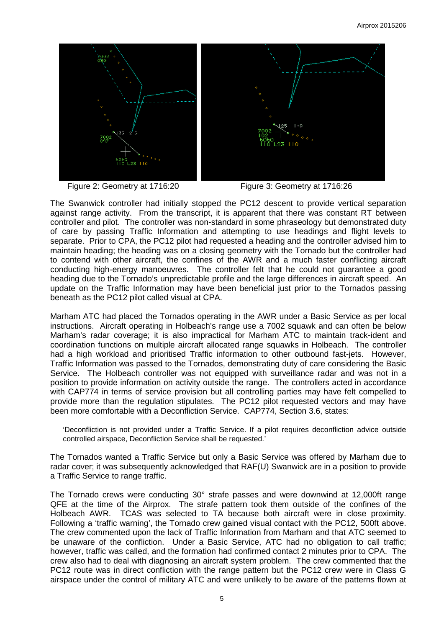

Figure 2: Geometry at 1716:20 Figure 3: Geometry at 1716:26

The Swanwick controller had initially stopped the PC12 descent to provide vertical separation against range activity. From the transcript, it is apparent that there was constant RT between controller and pilot. The controller was non-standard in some phraseology but demonstrated duty of care by passing Traffic Information and attempting to use headings and flight levels to separate. Prior to CPA, the PC12 pilot had requested a heading and the controller advised him to maintain heading; the heading was on a closing geometry with the Tornado but the controller had to contend with other aircraft, the confines of the AWR and a much faster conflicting aircraft conducting high-energy manoeuvres. The controller felt that he could not guarantee a good heading due to the Tornado's unpredictable profile and the large differences in aircraft speed. An update on the Traffic Information may have been beneficial just prior to the Tornados passing beneath as the PC12 pilot called visual at CPA.

Marham ATC had placed the Tornados operating in the AWR under a Basic Service as per local instructions. Aircraft operating in Holbeach's range use a 7002 squawk and can often be below Marham's radar coverage; it is also impractical for Marham ATC to maintain track-ident and coordination functions on multiple aircraft allocated range squawks in Holbeach. The controller had a high workload and prioritised Traffic information to other outbound fast-jets. However, Traffic Information was passed to the Tornados, demonstrating duty of care considering the Basic Service. The Holbeach controller was not equipped with surveillance radar and was not in a position to provide information on activity outside the range. The controllers acted in accordance with CAP774 in terms of service provision but all controlling parties may have felt compelled to provide more than the regulation stipulates. The PC12 pilot requested vectors and may have been more comfortable with a Deconfliction Service. CAP774, Section 3.6, states:

'Deconfliction is not provided under a Traffic Service. If a pilot requires deconfliction advice outside controlled airspace, Deconfliction Service shall be requested.'

The Tornados wanted a Traffic Service but only a Basic Service was offered by Marham due to radar cover; it was subsequently acknowledged that RAF(U) Swanwick are in a position to provide a Traffic Service to range traffic.

The Tornado crews were conducting 30° strafe passes and were downwind at 12,000ft range QFE at the time of the Airprox. The strafe pattern took them outside of the confines of the Holbeach AWR. TCAS was selected to TA because both aircraft were in close proximity. Following a 'traffic warning', the Tornado crew gained visual contact with the PC12, 500ft above. The crew commented upon the lack of Traffic Information from Marham and that ATC seemed to be unaware of the confliction. Under a Basic Service, ATC had no obligation to call traffic; however, traffic was called, and the formation had confirmed contact 2 minutes prior to CPA. The crew also had to deal with diagnosing an aircraft system problem. The crew commented that the PC12 route was in direct confliction with the range pattern but the PC12 crew were in Class G airspace under the control of military ATC and were unlikely to be aware of the patterns flown at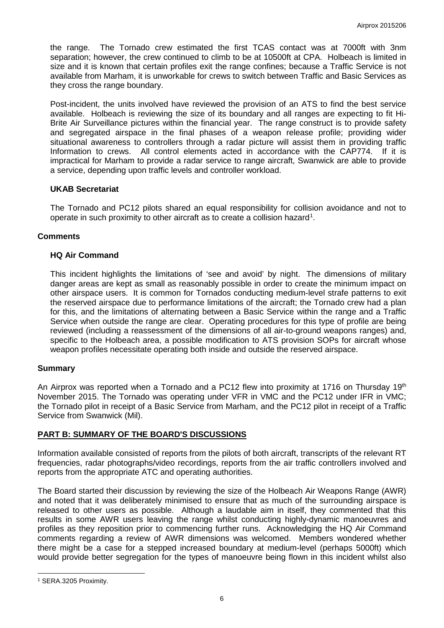the range. The Tornado crew estimated the first TCAS contact was at 7000ft with 3nm separation; however, the crew continued to climb to be at 10500ft at CPA. Holbeach is limited in size and it is known that certain profiles exit the range confines; because a Traffic Service is not available from Marham, it is unworkable for crews to switch between Traffic and Basic Services as they cross the range boundary.

Post-incident, the units involved have reviewed the provision of an ATS to find the best service available. Holbeach is reviewing the size of its boundary and all ranges are expecting to fit Hi-Brite Air Surveillance pictures within the financial year. The range construct is to provide safety and segregated airspace in the final phases of a weapon release profile; providing wider situational awareness to controllers through a radar picture will assist them in providing traffic Information to crews. All control elements acted in accordance with the CAP774. If it is impractical for Marham to provide a radar service to range aircraft, Swanwick are able to provide a service, depending upon traffic levels and controller workload.

### **UKAB Secretariat**

The Tornado and PC12 pilots shared an equal responsibility for collision avoidance and not to operate in such proximity to other aircraft as to create a collision hazard<sup>[1](#page-5-0)</sup>.

#### **Comments**

#### **HQ Air Command**

This incident highlights the limitations of 'see and avoid' by night. The dimensions of military danger areas are kept as small as reasonably possible in order to create the minimum impact on other airspace users. It is common for Tornados conducting medium-level strafe patterns to exit the reserved airspace due to performance limitations of the aircraft; the Tornado crew had a plan for this, and the limitations of alternating between a Basic Service within the range and a Traffic Service when outside the range are clear. Operating procedures for this type of profile are being reviewed (including a reassessment of the dimensions of all air-to-ground weapons ranges) and, specific to the Holbeach area, a possible modification to ATS provision SOPs for aircraft whose weapon profiles necessitate operating both inside and outside the reserved airspace.

#### **Summary**

An Airprox was reported when a Tornado and a PC12 flew into proximity at 1716 on Thursday 19th November 2015. The Tornado was operating under VFR in VMC and the PC12 under IFR in VMC; the Tornado pilot in receipt of a Basic Service from Marham, and the PC12 pilot in receipt of a Traffic Service from Swanwick (Mil).

### **PART B: SUMMARY OF THE BOARD'S DISCUSSIONS**

Information available consisted of reports from the pilots of both aircraft, transcripts of the relevant RT frequencies, radar photographs/video recordings, reports from the air traffic controllers involved and reports from the appropriate ATC and operating authorities.

The Board started their discussion by reviewing the size of the Holbeach Air Weapons Range (AWR) and noted that it was deliberately minimised to ensure that as much of the surrounding airspace is released to other users as possible. Although a laudable aim in itself, they commented that this results in some AWR users leaving the range whilst conducting highly-dynamic manoeuvres and profiles as they reposition prior to commencing further runs. Acknowledging the HQ Air Command comments regarding a review of AWR dimensions was welcomed. Members wondered whether there might be a case for a stepped increased boundary at medium-level (perhaps 5000ft) which would provide better segregation for the types of manoeuvre being flown in this incident whilst also

 $\overline{\phantom{a}}$ 

<span id="page-5-0"></span><sup>1</sup> SERA.3205 Proximity.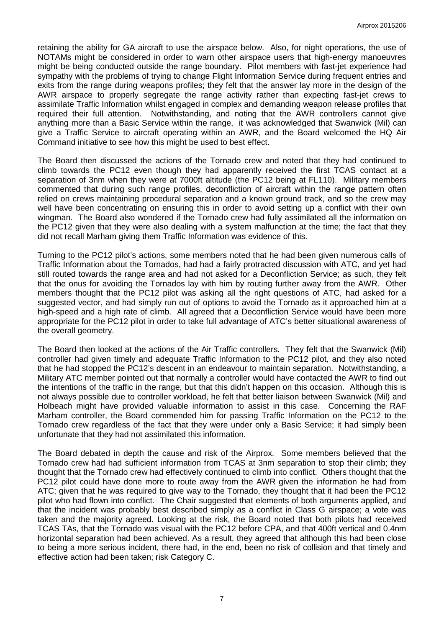retaining the ability for GA aircraft to use the airspace below. Also, for night operations, the use of NOTAMs might be considered in order to warn other airspace users that high-energy manoeuvres might be being conducted outside the range boundary. Pilot members with fast-jet experience had sympathy with the problems of trying to change Flight Information Service during frequent entries and exits from the range during weapons profiles; they felt that the answer lay more in the design of the AWR airspace to properly segregate the range activity rather than expecting fast-jet crews to assimilate Traffic Information whilst engaged in complex and demanding weapon release profiles that required their full attention. Notwithstanding, and noting that the AWR controllers cannot give anything more than a Basic Service within the range, it was acknowledged that Swanwick (Mil) can give a Traffic Service to aircraft operating within an AWR, and the Board welcomed the HQ Air Command initiative to see how this might be used to best effect.

The Board then discussed the actions of the Tornado crew and noted that they had continued to climb towards the PC12 even though they had apparently received the first TCAS contact at a separation of 3nm when they were at 7000ft altitude (the PC12 being at FL110). Military members commented that during such range profiles, deconfliction of aircraft within the range pattern often relied on crews maintaining procedural separation and a known ground track, and so the crew may well have been concentrating on ensuring this in order to avoid setting up a conflict with their own wingman. The Board also wondered if the Tornado crew had fully assimilated all the information on the PC12 given that they were also dealing with a system malfunction at the time; the fact that they did not recall Marham giving them Traffic Information was evidence of this.

Turning to the PC12 pilot's actions, some members noted that he had been given numerous calls of Traffic Information about the Tornados, had had a fairly protracted discussion with ATC, and yet had still routed towards the range area and had not asked for a Deconfliction Service; as such, they felt that the onus for avoiding the Tornados lay with him by routing further away from the AWR. Other members thought that the PC12 pilot was asking all the right questions of ATC, had asked for a suggested vector, and had simply run out of options to avoid the Tornado as it approached him at a high-speed and a high rate of climb. All agreed that a Deconfliction Service would have been more appropriate for the PC12 pilot in order to take full advantage of ATC's better situational awareness of the overall geometry.

The Board then looked at the actions of the Air Traffic controllers. They felt that the Swanwick (Mil) controller had given timely and adequate Traffic Information to the PC12 pilot, and they also noted that he had stopped the PC12's descent in an endeavour to maintain separation. Notwithstanding, a Military ATC member pointed out that normally a controller would have contacted the AWR to find out the intentions of the traffic in the range, but that this didn't happen on this occasion. Although this is not always possible due to controller workload, he felt that better liaison between Swanwick (Mil) and Holbeach might have provided valuable information to assist in this case. Concerning the RAF Marham controller, the Board commended him for passing Traffic Information on the PC12 to the Tornado crew regardless of the fact that they were under only a Basic Service; it had simply been unfortunate that they had not assimilated this information.

The Board debated in depth the cause and risk of the Airprox. Some members believed that the Tornado crew had had sufficient information from TCAS at 3nm separation to stop their climb; they thought that the Tornado crew had effectively continued to climb into conflict. Others thought that the PC12 pilot could have done more to route away from the AWR given the information he had from ATC; given that he was required to give way to the Tornado, they thought that it had been the PC12 pilot who had flown into conflict. The Chair suggested that elements of both arguments applied, and that the incident was probably best described simply as a conflict in Class G airspace; a vote was taken and the majority agreed. Looking at the risk, the Board noted that both pilots had received TCAS TAs, that the Tornado was visual with the PC12 before CPA, and that 400ft vertical and 0.4nm horizontal separation had been achieved. As a result, they agreed that although this had been close to being a more serious incident, there had, in the end, been no risk of collision and that timely and effective action had been taken; risk Category C.